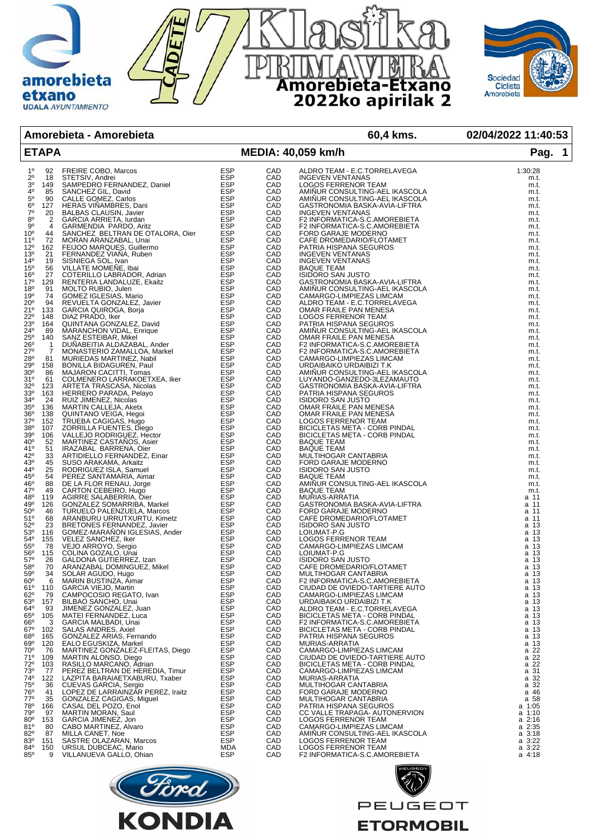



**Amorebieta - Amorebieta 60,4 kms. 02/04/2022 11:40:53**

| <b>ETAPA</b>                              | <b>THE REAL PROPERTY AND AN ARRANGEM AND SERVE AN ARRANGEM AN ARRANGEM AN ARRANGEM AND SANCHER SURFAIRS (SURFAIR)</b><br>SAMPLED OF FRAMEWORK CONTRACT CONTRACT CONTRACT CONTRACT CONTRACT CONTRACT CONTRACT CONTRACT CONTRACT CONTRA              |     |                   | MEDIA: 40,059 km/h                                                                                                                                                                                                                                        | Pag. 1                |
|-------------------------------------------|----------------------------------------------------------------------------------------------------------------------------------------------------------------------------------------------------------------------------------------------------|-----|-------------------|-----------------------------------------------------------------------------------------------------------------------------------------------------------------------------------------------------------------------------------------------------------|-----------------------|
| $1^{\circ}$<br>92                         |                                                                                                                                                                                                                                                    |     |                   |                                                                                                                                                                                                                                                           | 1:30:28               |
| $2^{\circ}$<br>18                         |                                                                                                                                                                                                                                                    |     | CAD<br>CAD        | ALDRO TEAM - E.C.TORRELAVEGA<br>INOTICALIZINTIALIS<br><b>INGEVEN VENTANAS</b>                                                                                                                                                                             | m.t.                  |
| $3^{\rm o}$<br>149                        |                                                                                                                                                                                                                                                    |     | CAD               | LOGOS FERRENOR TEAM                                                                                                                                                                                                                                       | m.t.                  |
| $4^{\circ}$<br>85                         |                                                                                                                                                                                                                                                    |     | CAD<br>CAD        | AMIÑUR CONSULTING-AEL IKASCOLA                                                                                                                                                                                                                            | m.t.                  |
| 5 <sup>o</sup><br>90                      |                                                                                                                                                                                                                                                    |     |                   | AMINUR CONSULTING-AEL IKASCOLA                                                                                                                                                                                                                            | m.t.                  |
| 6 <sup>o</sup><br>127<br>$7^\circ$<br>20  |                                                                                                                                                                                                                                                    |     | CAD<br>CAD        | GASTRONOMIA BASKA-AVIA-LIFTRA<br><b>INGEVEN VENTANAS</b>                                                                                                                                                                                                  | m.t.<br>m.t.          |
| $8^{\circ}$<br>$\overline{2}$             |                                                                                                                                                                                                                                                    |     | CAD               | F2 INFORMATICA-S.C.AMOREBIETA                                                                                                                                                                                                                             | m.t.                  |
| $\overline{4}$<br>$9^{\circ}$             |                                                                                                                                                                                                                                                    |     | CAD               | F2 INFORMATICA-S.C.AMOREBIETA                                                                                                                                                                                                                             | m.t.                  |
| 10 <sup>o</sup><br>44                     |                                                                                                                                                                                                                                                    |     | CAD<br>CAD        | FORD GARAJE MODERNO                                                                                                                                                                                                                                       | m.t.                  |
| $11^{\circ}$<br>72<br>$12^{\circ}$<br>162 |                                                                                                                                                                                                                                                    |     | CAD               | CAFE DROMEDARIO/FLOTAMET<br>PATRIA HISPANA SEGUROS                                                                                                                                                                                                        | m.t.<br>m.t.          |
| $13^{o}$<br>21                            |                                                                                                                                                                                                                                                    |     | CAD               | <b>INGEVEN VENTANAS</b>                                                                                                                                                                                                                                   | m.t.                  |
| $14^{\circ}$<br>19                        |                                                                                                                                                                                                                                                    |     | CAD<br>CAD        | <b>INGEVEN VENTANAS</b>                                                                                                                                                                                                                                   | m.t.                  |
| 15 <sup>0</sup><br>56                     |                                                                                                                                                                                                                                                    |     |                   | <b>BAQUE TEAM</b>                                                                                                                                                                                                                                         | m.t.                  |
| 16 <sup>o</sup><br>27<br>17°<br>129       |                                                                                                                                                                                                                                                    |     | CAD<br>CAD        | <b>ISIDORO SAN JUSTO</b><br>GASTRONOMIA BASKA-AVIA-LIFTRA                                                                                                                                                                                                 | m.t.<br>m.t.          |
| 18 <sup>0</sup><br>91                     |                                                                                                                                                                                                                                                    |     | CAD               | AMINUR CONSULTING-AEL IKASCOLA                                                                                                                                                                                                                            | m.t.                  |
| 74<br>19°                                 |                                                                                                                                                                                                                                                    |     | CAD               | CAMARGO-LIMPIEZAS LIMCAM                                                                                                                                                                                                                                  | m.t.                  |
| 20°<br>94<br>$21^{\circ}$<br>133          |                                                                                                                                                                                                                                                    |     | CAD<br>CAD        | ALDRO TEAM - E.C.TORRELAVEGA                                                                                                                                                                                                                              | m.t.                  |
| $22^{\circ}$<br>148                       |                                                                                                                                                                                                                                                    |     |                   | OMAR FRAILE PAN MENESA                                                                                                                                                                                                                                    | m.t.<br>m.t.          |
| $\overline{23}$ °<br>164                  |                                                                                                                                                                                                                                                    |     | CAD<br>CAD        | LOGOS FERRENOR TEAM<br>PATRIA HISPANA SEGUROS                                                                                                                                                                                                             | m.t.                  |
| 24°<br>89                                 |                                                                                                                                                                                                                                                    |     | CAD               | AMINUR CONSULTING-AEL IKASCOLA                                                                                                                                                                                                                            | m.t.                  |
| 25°<br>26°<br>140                         |                                                                                                                                                                                                                                                    |     | CAD<br>CAD        | OMAR FRAILE PAN MENESA                                                                                                                                                                                                                                    | m.t.                  |
| $\overline{1}$<br>$\overline{7}$<br>27°   |                                                                                                                                                                                                                                                    |     | CAD               | F2 INFORMATICA-S.C.AMOREBIETA<br>F2 INFORMATICA-S.C.AMOREBIETA                                                                                                                                                                                            | m.t.<br>m.t.          |
| 28°<br>81                                 |                                                                                                                                                                                                                                                    |     |                   |                                                                                                                                                                                                                                                           | m.t.                  |
| $29^\circ$<br>158                         |                                                                                                                                                                                                                                                    |     | CAD<br>CAD        | CAMARGO-LIMPIEZAS LIMCAM<br>URDAIBAIKO URDAIBIZI T.K                                                                                                                                                                                                      | m.t.                  |
| $30^{\circ}$<br>86                        |                                                                                                                                                                                                                                                    |     | CAD               | AMIÑUR CONSULTING-AEL IKASCOLA                                                                                                                                                                                                                            | m.t.                  |
| 31°<br>61<br>$32^{\circ}$<br>123          |                                                                                                                                                                                                                                                    |     | CAD<br>CAD        | LUYANDO-GANZEDO-3LEZAMAUTO<br>GASTRONOMIA BASKA-AVIA-LIFTRA                                                                                                                                                                                               | m.t.<br>m.t.          |
| 163<br>$33^{\circ}$                       |                                                                                                                                                                                                                                                    |     | CAD<br>CAD        | PATRIA HISPANA SEGUROS                                                                                                                                                                                                                                    | m.t.                  |
| 34°<br>24                                 |                                                                                                                                                                                                                                                    |     |                   | <b>ISIDORO SAN JUSTO</b>                                                                                                                                                                                                                                  | m.t.                  |
| $35^{\circ}$<br>136                       |                                                                                                                                                                                                                                                    |     | CAD               | OMAR FRAILE PAN MENESA                                                                                                                                                                                                                                    | m.t.                  |
| 138<br>$36^{\circ}$<br>37°<br>152         |                                                                                                                                                                                                                                                    |     | CAD<br>CAD        | OMAR FRAILE PAN MENESA<br><b>LOGOS FERRENOR TEAM</b>                                                                                                                                                                                                      | m.t.<br>m.t.          |
| 38°<br>107                                |                                                                                                                                                                                                                                                    |     | CAD<br>CAD<br>CAD | BICICLETAS META - CORB PINDAL                                                                                                                                                                                                                             | m.t.                  |
| 39°<br>106                                |                                                                                                                                                                                                                                                    |     |                   | BICICLETAS META - CORB PINDAL                                                                                                                                                                                                                             | m.t.                  |
| 52<br>40°<br>41°<br>51                    |                                                                                                                                                                                                                                                    |     |                   | <b>BAQUE TEAM</b>                                                                                                                                                                                                                                         | m.t.                  |
| 42 <sup>o</sup><br>33                     |                                                                                                                                                                                                                                                    |     | CAD<br>CAD<br>CAD | <b>BAQUE TEAM</b><br>MULTIHOGAR CANTABRIA                                                                                                                                                                                                                 | m.t.<br>m.t.          |
| 45<br>43°                                 |                                                                                                                                                                                                                                                    |     | CAD               | FORD GARAJE MODERNO                                                                                                                                                                                                                                       | m.t.                  |
| 25<br>44°                                 |                                                                                                                                                                                                                                                    |     | CAD<br>CAD<br>CAD | <b>ISIDORO SAN JUSTO</b>                                                                                                                                                                                                                                  | m.t.                  |
| 45°<br>54<br>46°<br>88                    |                                                                                                                                                                                                                                                    |     |                   | <b>BAQUE TEAM</b><br>AMIÑUR CONSULTING-AEL IKASCOLA                                                                                                                                                                                                       | m.t.<br>m.t.          |
| 47°<br>49                                 |                                                                                                                                                                                                                                                    |     | CAD               | <b>BAQUE TEAM</b>                                                                                                                                                                                                                                         | m.t.                  |
| 48°<br>119                                |                                                                                                                                                                                                                                                    |     | CAD               | MURIAS-ARRATIA                                                                                                                                                                                                                                            | a 11                  |
| 49°<br>126                                |                                                                                                                                                                                                                                                    |     | CAD<br>CAD        | GASTRONOMIA BASKA-AVIA-LIFTRA                                                                                                                                                                                                                             | a 11                  |
| 46<br>50°<br>68<br>51°                    |                                                                                                                                                                                                                                                    |     |                   | FORD GARAJE MODERNO<br>CAFE DROMEDARIO/FLOTAMET                                                                                                                                                                                                           | a 11<br>a 11          |
| $52^{\circ}$<br>23                        |                                                                                                                                                                                                                                                    |     | CAD<br>CAD<br>CAD | <b>ISIDORO SAN JUSTO</b>                                                                                                                                                                                                                                  | a 13                  |
| 53°<br>116                                |                                                                                                                                                                                                                                                    |     |                   | LOIUMAT-P.G                                                                                                                                                                                                                                               | a 13                  |
| 54°<br>155<br>55°<br>78                   |                                                                                                                                                                                                                                                    |     | CAD<br>CAD        | <b>LOGOS FERRENOR TEAM</b><br>CAMARGO-LIMPIEZAS LIMCAM                                                                                                                                                                                                    | a 13<br>a 13          |
| 115<br>56°                                |                                                                                                                                                                                                                                                    |     | CAD               | LOIUMAT-P.G                                                                                                                                                                                                                                               | a 13                  |
| 57°<br>26                                 |                                                                                                                                                                                                                                                    |     | CAD<br>CAD        | <b>ISIDORO SAN JUSTO</b>                                                                                                                                                                                                                                  | a 13                  |
| 58°<br>70                                 |                                                                                                                                                                                                                                                    |     |                   | CAFE DROMEDARIO/FLOTAMET                                                                                                                                                                                                                                  | a 13                  |
| 59°<br>34<br>$60^{\circ}$<br>6            |                                                                                                                                                                                                                                                    |     | CAD<br>CAD        | MULTIHOGAR CANTABRIA<br>F2 INFORMATICA-S.C.AMOREBIETA                                                                                                                                                                                                     | a 13<br>a 13          |
| 61°<br>110                                | GARCIA VIEJO, Martin                                                                                                                                                                                                                               | ESP | CAD               | CIUDAD DE OVIEDO-TARTIERE AUTO                                                                                                                                                                                                                            | a 13                  |
| $62^{\circ}$<br>79                        |                                                                                                                                                                                                                                                    |     | CAD               | CAMARGO-LIMPIEZAS LIMCAM                                                                                                                                                                                                                                  | a 13                  |
| 63°<br>157                                |                                                                                                                                                                                                                                                    |     | CAD               | URDAIBAIKO URDAIBIZI T.K                                                                                                                                                                                                                                  | a 13                  |
| 64°<br>93<br>$65^{\circ}$<br>105          |                                                                                                                                                                                                                                                    |     | CAD<br>CAD        | ALDRO TEAM - E.C.TORRELAVEGA<br>BICICLETAS META - CORB PINDAL                                                                                                                                                                                             | a 13<br>a 13          |
| $66^{\circ}$<br>3                         |                                                                                                                                                                                                                                                    |     | CAD               | F2 INFORMATICA-S.C.AMOREBIETA                                                                                                                                                                                                                             | a 13                  |
| 67°<br>102                                |                                                                                                                                                                                                                                                    |     | CAD               | BICICLETAS META - CORB PINDAL                                                                                                                                                                                                                             | a 13                  |
| 68°<br>165                                |                                                                                                                                                                                                                                                    |     | CAD               | PATRIA HISPANA SEGUROS                                                                                                                                                                                                                                    | a 13                  |
| 69°<br>120<br>70°<br>76                   |                                                                                                                                                                                                                                                    |     | CAD<br>CAD        | MURIAS-ARRATIA<br>CAMARGO-LIMPIEZAS LIMCAM                                                                                                                                                                                                                | a 13<br>a 22          |
| 71°<br>109                                |                                                                                                                                                                                                                                                    |     | CAD               | CIUDAD DE OVIEDO-TARTIERE AUTO                                                                                                                                                                                                                            | a 22                  |
| 72°<br>103                                |                                                                                                                                                                                                                                                    |     | CAD               | BICICLETAS META - CORB PINDAL                                                                                                                                                                                                                             | a 22                  |
| 73°<br>77                                 |                                                                                                                                                                                                                                                    |     | CAD               | CAMARGO-LIMPIEZAS LIMCAM                                                                                                                                                                                                                                  | a 31                  |
| 74°<br>122<br>75°<br>36                   |                                                                                                                                                                                                                                                    |     | CAD<br>CAD        | MURIAS-ARRATIA                                                                                                                                                                                                                                            | a 32<br>a 32          |
| 76°<br>41                                 |                                                                                                                                                                                                                                                    |     | CAD               |                                                                                                                                                                                                                                                           | a 46                  |
| 77°<br>35                                 |                                                                                                                                                                                                                                                    |     | CAD               |                                                                                                                                                                                                                                                           | a 58                  |
| 78°<br>166                                |                                                                                                                                                                                                                                                    |     | CAD               |                                                                                                                                                                                                                                                           | $a$ 1:05              |
| 79°<br>97<br>$80^{\circ}$<br>153          |                                                                                                                                                                                                                                                    |     | CAD<br>CAD        |                                                                                                                                                                                                                                                           | a 1:10<br>$a \, 2:16$ |
| 81°<br>80                                 |                                                                                                                                                                                                                                                    |     | CAD               |                                                                                                                                                                                                                                                           | $a \; 2:35$           |
| 82 <sup>o</sup><br>87                     |                                                                                                                                                                                                                                                    |     | CAD               |                                                                                                                                                                                                                                                           | $a \, 3:18$           |
| 83°<br>151                                |                                                                                                                                                                                                                                                    |     | CAD<br>CAD        |                                                                                                                                                                                                                                                           | a 3:22<br>a 3:22      |
| 84°<br>150<br>$85^\circ$<br>9             | CARCIA VIEJO, Martin<br>CARCIA VIEJO, Martin<br>CARCIA VIEJO, Martin<br>BILBAO SANCHO, Unai<br>JIMENEZ GONZALEZ, Juan<br>MATEI FERNANDEZ, Luca<br>GARCIA MALBADI, Unai<br>GARCIA MALBADI, Luca<br>GARCIA MALBADI, Luca<br>GARCIA MALBADI, Luca<br> |     | CAD               | MULTIHOGAR CANTABRIA<br>FORD GARAJE MODERNO<br>MULTIHOGAR CANTABRIA<br>PATRIA HISPANA SEGUROS<br>CC VALLE TRAPAGA- AUTONERVION<br>LOGOS FERRENOR TEAM<br>AMINUR CONSULTING-AEL IKASCOLA<br>LOGOS FERRENOR TEAM<br>LOGOS FERRENOR TEAM<br>F2 INFORMATICA-S | a 4:18                |
|                                           |                                                                                                                                                                                                                                                    |     |                   |                                                                                                                                                                                                                                                           |                       |



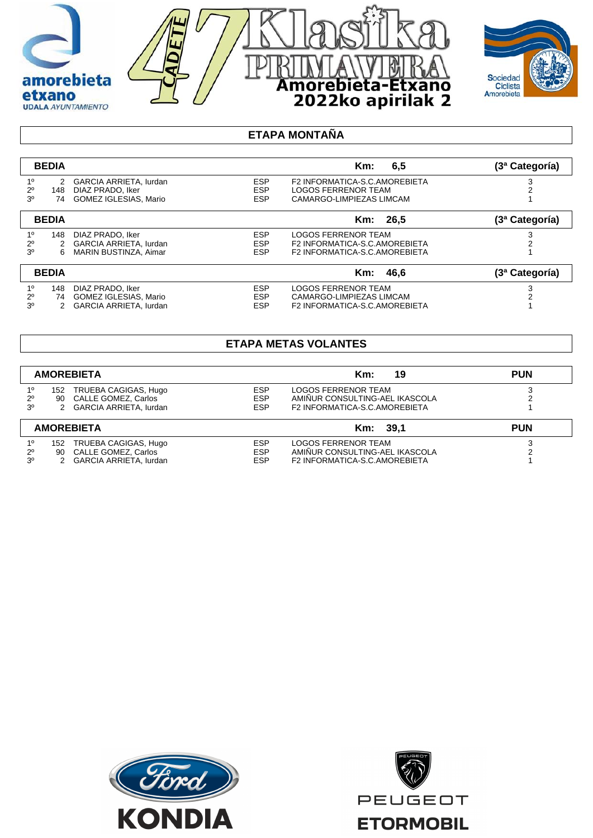

Amorebieta-Etxano<br>2022ko apirilak 2

|                | <b>BEDIA</b> |                              |            | 6.5<br>$Km$ :                 | (3ª Categoría) |
|----------------|--------------|------------------------------|------------|-------------------------------|----------------|
| 1 <sup>0</sup> |              | 2 GARCIA ARRIETA, lurdan     | <b>ESP</b> | F2 INFORMATICA-S.C.AMOREBIETA |                |
| $2^{\circ}$    | 148          | DIAZ PRADO, Iker             | <b>ESP</b> | <b>LOGOS FERRENOR TEAM</b>    |                |
| 30             | 74           | <b>GOMEZ IGLESIAS, Mario</b> | <b>ESP</b> | CAMARGO-LIMPIEZAS LIMCAM      |                |
|                | <b>BEDIA</b> |                              |            | - 26.5<br>Km:                 | (3ª Categoría) |
| $1^{\circ}$    | 148          | DIAZ PRADO, Iker             | <b>ESP</b> | <b>LOGOS FERRENOR TEAM</b>    |                |
| $2^{\circ}$    | 2            | GARCIA ARRIETA, lurdan       | <b>ESP</b> | F2 INFORMATICA-S.C.AMOREBIETA |                |
| 30             | 6            | <b>MARIN BUSTINZA, Aimar</b> | <b>ESP</b> | F2 INFORMATICA-S.C.AMOREBIETA |                |
|                | <b>BEDIA</b> |                              |            | Km: 46.6                      | (3ª Categoría) |
| $1^{\circ}$    | 148          | DIAZ PRADO, Iker             | <b>ESP</b> | <b>LOGOS FERRENOR TEAM</b>    |                |
| $2^{\circ}$    | 74           | GOMEZ IGLESIAS, Mario        | <b>ESP</b> | CAMARGO-LIMPIEZAS LIMCAM      |                |
| 3 <sup>0</sup> |              | GARCIA ARRIETA, lurdan       | <b>ESP</b> | F2 INFORMATICA-S.C.AMOREBIETA |                |

## **ETAPA METAS VOLANTES**

| <b>AMOREBIETA</b> |     |                          |            | 19<br>Km:                      | <b>PUN</b> |
|-------------------|-----|--------------------------|------------|--------------------------------|------------|
| $1^{\circ}$       | 152 | TRUEBA CAGIGAS, Hugo     | <b>ESP</b> | LOGOS FERRENOR TEAM            |            |
| $2^{\circ}$       |     | 90 CALLE GOMEZ, Carlos   | <b>ESP</b> | AMINUR CONSULTING-AEL IKASCOLA |            |
| 3 <sup>o</sup>    |     | 2 GARCIA ARRIETA, lurdan | <b>ESP</b> | F2 INFORMATICA-S.C.AMOREBIETA  |            |
| <b>AMOREBIETA</b> |     |                          |            | Km: 39.1                       | <b>PUN</b> |
| 1 <sup>0</sup>    | 152 | TRUEBA CAGIGAS, Hugo     | <b>ESP</b> | LOGOS FERRENOR TEAM            |            |
| $2^{\circ}$       | 90  | CALLE GOMEZ, Carlos      | <b>ESP</b> | AMINUR CONSULTING-AEL IKASCOLA |            |
| 3 <sup>o</sup>    |     | 2 GARCIA ARRIETA, lurdan | <b>ESP</b> | F2 INFORMATICA-S.C.AMOREBIETA  |            |